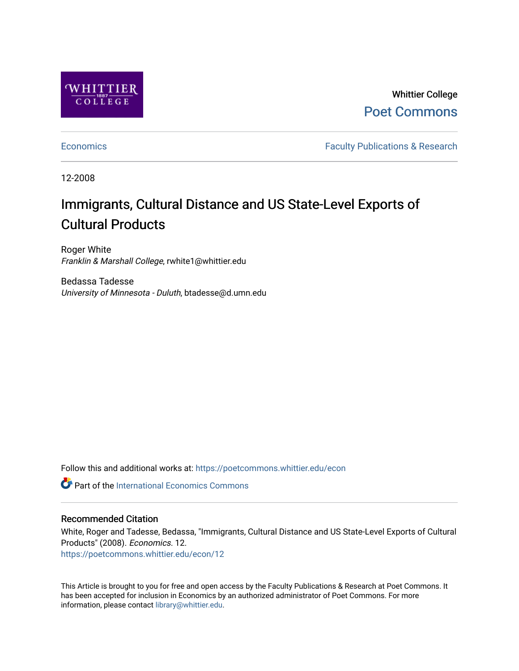

Whittier College [Poet Commons](https://poetcommons.whittier.edu/) 

[Economics](https://poetcommons.whittier.edu/econ) **Faculty Publications & Research** 

12-2008

# Immigrants, Cultural Distance and US State-Level Exports of Cultural Products

Roger White Franklin & Marshall College, rwhite1@whittier.edu

Bedassa Tadesse University of Minnesota - Duluth, btadesse@d.umn.edu

Follow this and additional works at: [https://poetcommons.whittier.edu/econ](https://poetcommons.whittier.edu/econ?utm_source=poetcommons.whittier.edu%2Fecon%2F12&utm_medium=PDF&utm_campaign=PDFCoverPages)

**C** Part of the International Economics Commons

## Recommended Citation

White, Roger and Tadesse, Bedassa, "Immigrants, Cultural Distance and US State-Level Exports of Cultural Products" (2008). Economics. 12.

[https://poetcommons.whittier.edu/econ/12](https://poetcommons.whittier.edu/econ/12?utm_source=poetcommons.whittier.edu%2Fecon%2F12&utm_medium=PDF&utm_campaign=PDFCoverPages) 

This Article is brought to you for free and open access by the Faculty Publications & Research at Poet Commons. It has been accepted for inclusion in Economics by an authorized administrator of Poet Commons. For more information, please contact [library@whittier.edu.](mailto:library@whittier.edu)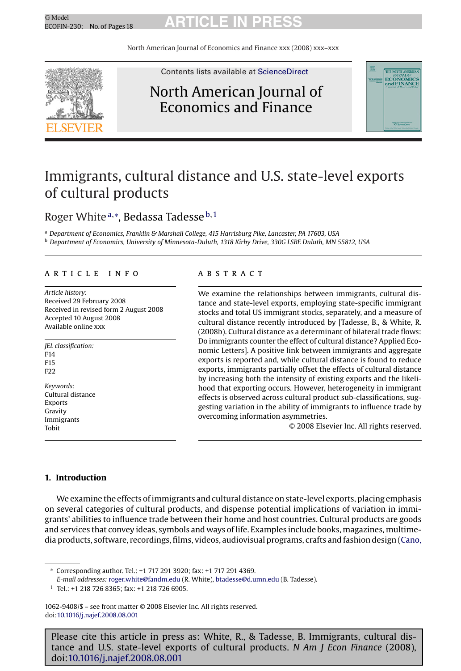# G Model<br>ECOEN 220: No of Barrel 2. **ARTICLE IN PE**

North American Journal of Economics and Finance xxx (2008) xxx–xxx



Contents lists available at [ScienceDirect](http://www.sciencedirect.com/science/journal/10629408)

# North American Journal of Economics and Finance



# Immigrants, cultural distance and U.S. state-level exports of cultural products

## Roger Whiteª,\*, Bedassa Tadesse<sup>b,1</sup>

<sup>a</sup> *Department of Economics, Franklin & Marshall College, 415 Harrisburg Pike, Lancaster, PA 17603, USA* <sup>b</sup> *Department of Economics, University of Minnesota-Duluth, 1318 Kirby Drive, 330G LSBE Duluth, MN 55812, USA*

#### article info

*Article history:* Received 29 February 2008 Received in revised form 2 August 2008 Accepted 10 August 2008 Available online xxx

*JEL classification:* F14 F15 F22

*Keywords:* Cultural distance Exports Gravity Immigrants Tobit

### **ABSTRACT**

We examine the relationships between immigrants, cultural distance and state-level exports, employing state-specific immigrant stocks and total US immigrant stocks, separately, and a measure of cultural distance recently introduced by [Tadesse, B., & White, R. (2008b). Cultural distance as a determinant of bilateral trade flows: Do immigrants counter the effect of cultural distance? Applied Economic Letters]. A positive link between immigrants and aggregate exports is reported and, while cultural distance is found to reduce exports, immigrants partially offset the effects of cultural distance by increasing both the intensity of existing exports and the likelihood that exporting occurs. However, heterogeneity in immigrant effects is observed across cultural product sub-classifications, suggesting variation in the ability of immigrants to influence trade by overcoming information asymmetries.

© 2008 Elsevier Inc. All rights reserved.

### **1. Introduction**

We examine the effects of immigrants and cultural distance on state-level exports, placing emphasis on several categories of cultural products, and dispense potential implications of variation in immigrants' abilities to influence trade between their home and host countries. Cultural products are goods and services that convey ideas, symbols and ways of life. Examples include books, magazines, multimedia products, software, recordings, films, videos, audiovisual programs, crafts and fashion design [\(Cano,](#page-17-0)

∗ Corresponding author. Tel.: +1 717 291 3920; fax: +1 717 291 4369.

*E-mail addresses:* [roger.white@fandm.edu](mailto:roger.white@fandm.edu) (R. White), [btadesse@d.umn.edu](mailto:btadesse@d.umn.edu) (B. Tadesse).

 $1$  Tel.: +1 218 726 8365; fax: +1 218 726 6905.

1062-9408/\$ – see front matter © 2008 Elsevier Inc. All rights reserved. doi:[10.1016/j.najef.2008.08.001](dx.doi.org/10.1016/j.najef.2008.08.001)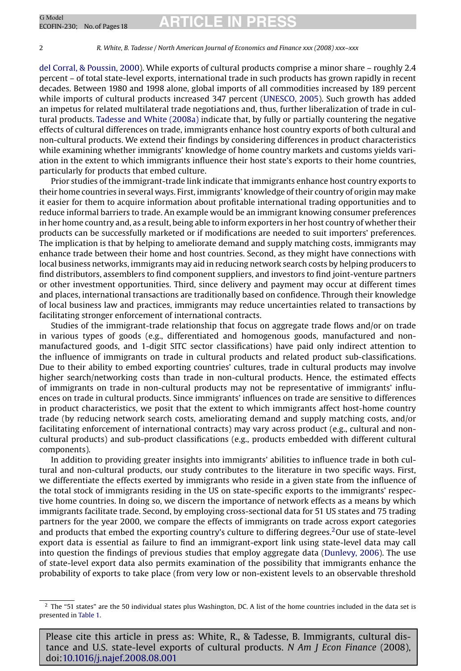[del Corral, & Poussin, 2000\).](#page-17-0) While exports of cultural products comprise a minor share – roughly 2.4 percent – of total state-level exports, international trade in such products has grown rapidly in recent decades. Between 1980 and 1998 alone, global imports of all commodities increased by 189 percent while imports of cultural products increased 347 percent [\(UNESCO, 2005\).](#page-18-0) Such growth has added an impetus for related multilateral trade negotiations and, thus, further liberalization of trade in cultural products. [Tadesse and White \(2008a\)](#page-18-0) indicate that, by fully or partially countering the negative effects of cultural differences on trade, immigrants enhance host country exports of both cultural and non-cultural products. We extend their findings by considering differences in product characteristics while examining whether immigrants' knowledge of home country markets and customs yields variation in the extent to which immigrants influence their host state's exports to their home countries, particularly for products that embed culture.

Prior studies of the immigrant-trade link indicate that immigrants enhance host country exports to their home countries in several ways. First, immigrants' knowledge of their country of origin may make it easier for them to acquire information about profitable international trading opportunities and to reduce informal barriers to trade. An example would be an immigrant knowing consumer preferences in her home country and, as a result, being able to inform exporters in her host country of whether their products can be successfully marketed or if modifications are needed to suit importers' preferences. The implication is that by helping to ameliorate demand and supply matching costs, immigrants may enhance trade between their home and host countries. Second, as they might have connections with local business networks, immigrants may aid in reducing network search costs by helping producers to find distributors, assemblers to find component suppliers, and investors to find joint-venture partners or other investment opportunities. Third, since delivery and payment may occur at different times and places, international transactions are traditionally based on confidence. Through their knowledge of local business law and practices, immigrants may reduce uncertainties related to transactions by facilitating stronger enforcement of international contracts.

Studies of the immigrant-trade relationship that focus on aggregate trade flows and/or on trade in various types of goods (e.g., differentiated and homogenous goods, manufactured and nonmanufactured goods, and 1-digit SITC sector classifications) have paid only indirect attention to the influence of immigrants on trade in cultural products and related product sub-classifications. Due to their ability to embed exporting countries' cultures, trade in cultural products may involve higher search/networking costs than trade in non-cultural products. Hence, the estimated effects of immigrants on trade in non-cultural products may not be representative of immigrants' influences on trade in cultural products. Since immigrants' influences on trade are sensitive to differences in product characteristics, we posit that the extent to which immigrants affect host-home country trade (by reducing network search costs, ameliorating demand and supply matching costs, and/or facilitating enforcement of international contracts) may vary across product (e.g., cultural and noncultural products) and sub-product classifications (e.g., products embedded with different cultural components).

In addition to providing greater insights into immigrants' abilities to influence trade in both cultural and non-cultural products, our study contributes to the literature in two specific ways. First, we differentiate the effects exerted by immigrants who reside in a given state from the influence of the total stock of immigrants residing in the US on state-specific exports to the immigrants' respective home countries. In doing so, we discern the importance of network effects as a means by which immigrants facilitate trade. Second, by employing cross-sectional data for 51 US states and 75 trading partners for the year 2000, we compare the effects of immigrants on trade across export categories and products that embed the exporting country's culture to differing degrees.2Our use of state-level export data is essential as failure to find an immigrant-export link using state-level data may call into question the findings of previous studies that employ aggregate data [\(Dunlevy, 2006\).](#page-17-0) The use of state-level export data also permits examination of the possibility that immigrants enhance the probability of exports to take place (from very low or non-existent levels to an observable threshold

 $<sup>2</sup>$  The "51 states" are the 50 individual states plus Washington, DC. A list of the home countries included in the data set is</sup> presented in [Table 1.](#page-7-0)

Please cite this article in press as: White, R., & Tadesse, B. Immigrants, cultural distance and U.S. state-level exports of cultural products. *N Am J Econ Finance* (2008), doi[:10.1016/j.najef.2008.08.001](dx.doi.org/10.1016/j.najef.2008.08.001)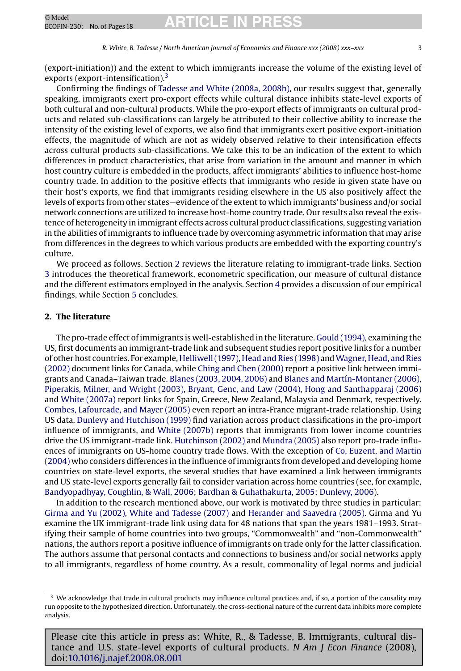<span id="page-3-0"></span>(export-initiation)) and the extent to which immigrants increase the volume of the existing level of exports (export-intensification).<sup>3</sup>

Confirming the findings of [Tadesse and White \(2008a, 2008b\), o](#page-18-0)ur results suggest that, generally speaking, immigrants exert pro-export effects while cultural distance inhibits state-level exports of both cultural and non-cultural products. While the pro-export effects of immigrants on cultural products and related sub-classifications can largely be attributed to their collective ability to increase the intensity of the existing level of exports, we also find that immigrants exert positive export-initiation effects, the magnitude of which are not as widely observed relative to their intensification effects across cultural products sub-classifications. We take this to be an indication of the extent to which differences in product characteristics, that arise from variation in the amount and manner in which host country culture is embedded in the products, affect immigrants' abilities to influence host-home country trade. In addition to the positive effects that immigrants who reside in given state have on their host's exports, we find that immigrants residing elsewhere in the US also positively affect the levels of exports from other states—evidence of the extent to which immigrants' business and/or social network connections are utilized to increase host-home country trade. Our results also reveal the existence of heterogeneity in immigrant effects across cultural product classifications, suggesting variation in the abilities of immigrants to influence trade by overcoming asymmetric information that may arise from differences in the degrees to which various products are embedded with the exporting country's culture.

We proceed as follows. Section 2 reviews the literature relating to immigrant-trade links. Section [3](#page-4-0) introduces the theoretical framework, econometric specification, our measure of cultural distance and the different estimators employed in the analysis. Section [4](#page-9-0) provides a discussion of our empirical findings, while Section [5](#page-16-0) concludes.

#### **2. The literature**

The pro-trade effect of immigrants is well-established in the literature. [Gould \(1994\), e](#page-17-0)xamining the US, first documents an immigrant-trade link and subsequent studies report positive links for a number of other host countries. For example, [Helliwell \(1997\),](#page-18-0) [Head and Ries \(1998\)](#page-17-0) and [Wagner, Head, and Ries](#page-18-0) [\(2002\)](#page-18-0) document links for Canada, while [Ching and Chen \(2000\)](#page-17-0) report a positive link between immigrants and Canada–Taiwan trade. [Blanes \(2003, 2004, 2006\)](#page-17-0) and [Blanes and Martín-Montaner \(2006\),](#page-17-0) [Piperakis, Milner, and Wright \(2003\),](#page-18-0) [Bryant, Genc, and Law \(2004\),](#page-17-0) [Hong and Santhapparaj \(2006\)](#page-18-0) and [White \(2007a\)](#page-18-0) report links for Spain, Greece, New Zealand, Malaysia and Denmark, respectively. [Combes, Lafourcade, and Mayer \(2005\)](#page-17-0) even report an intra-France migrant-trade relationship. Using US data, [Dunlevy and Hutchison \(1999\)](#page-17-0) find variation across product classifications in the pro-import influence of immigrants, and [White \(2007b\)](#page-18-0) reports that immigrants from lower income countries drive the US immigrant-trade link. [Hutchinson \(2002\)](#page-18-0) and [Mundra \(2005\)](#page-18-0) also report pro-trade influences of immigrants on US-home country trade flows. With the exception of [Co, Euzent, and Martin](#page-17-0) [\(2004\)](#page-17-0) who considers differences in the influence of immigrants from developed and developing home countries on state-level exports, the several studies that have examined a link between immigrants and US state-level exports generally fail to consider variation across home countries (see, for example, [Bandyopadhyay, Coughlin, & Wall, 2006;](#page-17-0) [Bardhan & Guhathakurta, 2005;](#page-17-0) [Dunlevy, 2006\).](#page-17-0)

In addition to the research mentioned above, our work is motivated by three studies in particular: [Girma and Yu \(2002\),](#page-17-0) [White and Tadesse \(2007\)](#page-18-0) and [Herander and Saavedra \(2005\). G](#page-18-0)irma and Yu examine the UK immigrant-trade link using data for 48 nations that span the years 1981–1993. Stratifying their sample of home countries into two groups, "Commonwealth" and "non-Commonwealth" nations, the authors report a positive influence of immigrants on trade only for the latter classification. The authors assume that personal contacts and connections to business and/or social networks apply to all immigrants, regardless of home country. As a result, commonality of legal norms and judicial

<sup>&</sup>lt;sup>3</sup> We acknowledge that trade in cultural products may influence cultural practices and, if so, a portion of the causality may run opposite to the hypothesized direction. Unfortunately, the cross-sectional nature of the current data inhibits more complete analysis.

Please cite this article in press as: White, R., & Tadesse, B. Immigrants, cultural distance and U.S. state-level exports of cultural products. *N Am J Econ Finance* (2008), doi[:10.1016/j.najef.2008.08.001](dx.doi.org/10.1016/j.najef.2008.08.001)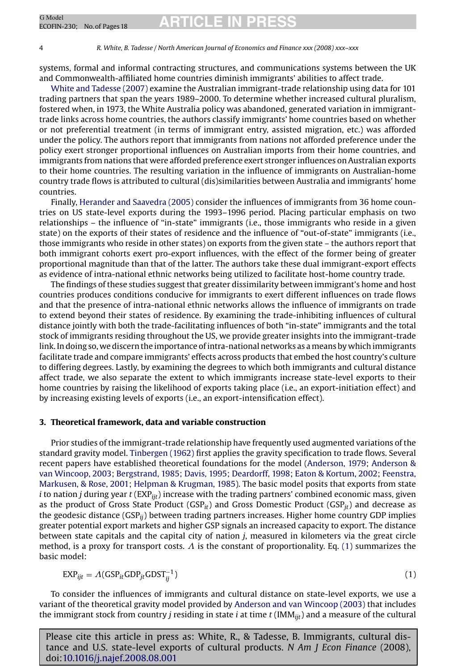<span id="page-4-0"></span>

systems, formal and informal contracting structures, and communications systems between the UK and Commonwealth-affiliated home countries diminish immigrants' abilities to affect trade.

[White and Tadesse \(2007\)](#page-18-0) examine the Australian immigrant-trade relationship using data for 101 trading partners that span the years 1989–2000. To determine whether increased cultural pluralism, fostered when, in 1973, the White Australia policy was abandoned, generated variation in immigranttrade links across home countries, the authors classify immigrants' home countries based on whether or not preferential treatment (in terms of immigrant entry, assisted migration, etc.) was afforded under the policy. The authors report that immigrants from nations not afforded preference under the policy exert stronger proportional influences on Australian imports from their home countries, and immigrants from nations that were afforded preference exert stronger influences on Australian exports to their home countries. The resulting variation in the influence of immigrants on Australian-home country trade flows is attributed to cultural (dis)similarities between Australia and immigrants' home countries.

Finally, [Herander and Saavedra \(2005\)](#page-18-0) consider the influences of immigrants from 36 home countries on US state-level exports during the 1993–1996 period. Placing particular emphasis on two relationships – the influence of "in-state" immigrants (i.e., those immigrants who reside in a given state) on the exports of their states of residence and the influence of "out-of-state" immigrants (i.e., those immigrants who reside in other states) on exports from the given state – the authors report that both immigrant cohorts exert pro-export influences, with the effect of the former being of greater proportional magnitude than that of the latter. The authors take these dual immigrant-export effects as evidence of intra-national ethnic networks being utilized to facilitate host-home country trade.

The findings of these studies suggest that greater dissimilarity between immigrant's home and host countries produces conditions conducive for immigrants to exert different influences on trade flows and that the presence of intra-national ethnic networks allows the influence of immigrants on trade to extend beyond their states of residence. By examining the trade-inhibiting influences of cultural distance jointly with both the trade-facilitating influences of both "in-state" immigrants and the total stock of immigrants residing throughout the US, we provide greater insights into the immigrant-trade link. In doing so, we discern the importance of intra-national networks as ameans by which immigrants facilitate trade and compare immigrants' effects across products that embed the host country's culture to differing degrees. Lastly, by examining the degrees to which both immigrants and cultural distance affect trade, we also separate the extent to which immigrants increase state-level exports to their home countries by raising the likelihood of exports taking place (i.e., an export-initiation effect) and by increasing existing levels of exports (i.e., an export-intensification effect).

#### **3. Theoretical framework, data and variable construction**

Prior studies of the immigrant-trade relationship have frequently used augmented variations of the standard gravity model. [Tinbergen \(1962\)](#page-18-0) first applies the gravity specification to trade flows. Several recent papers have established theoretical foundations for the model [\(Anderson, 1979;](#page-17-0) [Anderson &](#page-17-0) [van Wincoop, 2003;](#page-17-0) [Bergstrand, 1985; Davis, 1995; Deardorff, 1998;](#page-17-0) [Eaton & Kortum, 2002;](#page-17-0) [Feenstra,](#page-17-0) [Markusen, & Rose, 2001;](#page-17-0) [Helpman & Krugman, 1985\).](#page-18-0) The basic model posits that exports from state *i* to nation *j* during year *t* (EXP<sub>iit</sub>) increase with the trading partners' combined economic mass, given as the product of Gross State Product (GSP*it*) and Gross Domestic Product (GSP*jt*) and decrease as the geodesic distance (GSP*ij*) between trading partners increases. Higher home country GDP implies greater potential export markets and higher GSP signals an increased capacity to export. The distance between state capitals and the capital city of nation *j*, measured in kilometers via the great circle method, is a proxy for transport costs.  $\varLambda$  is the constant of proportionality. Eq. (1) summarizes the basic model:

$$
EXP_{ijt} = A(GSP_{it}GDP_{jt}GDST_{ij}^{-1})
$$
\n(1)

To consider the influences of immigrants and cultural distance on state-level exports, we use a variant of the theoretical gravity model provided by [Anderson and van Wincoop \(2003\)](#page-17-0) that includes the immigrant stock from country *j* residing in state *i* at time *t* (IMM*ijt*) and a measure of the cultural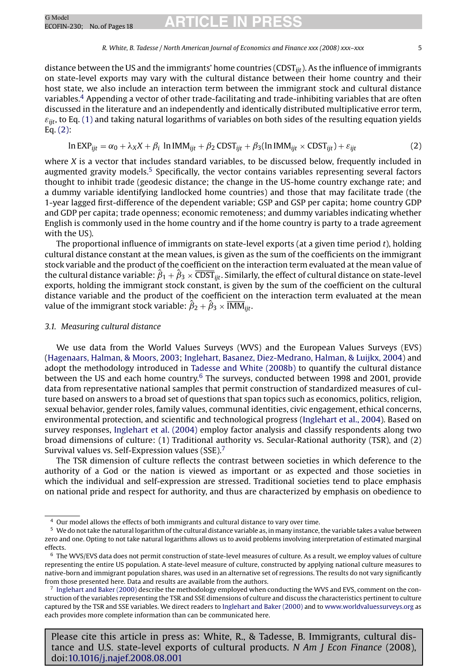<span id="page-5-0"></span>distance between the US and the immigrants' home countries (CDST*ijt*). As the influence of immigrants on state-level exports may vary with the cultural distance between their home country and their host state, we also include an interaction term between the immigrant stock and cultural distance variables.4 Appending a vector of other trade-facilitating and trade-inhibiting variables that are often discussed in the literature and an independently and identically distributed multiplicative error term,  $\varepsilon_{ijt}$ , to Eq. [\(1\)](#page-4-0) and taking natural logarithms of variables on both sides of the resulting equation yields Eq. (2):

$$
\ln \text{EXP}_{ijt} = \alpha_0 + \lambda_X X + \beta_i \ln \text{IMM}_{ijt} + \beta_2 \text{COST}_{ijt} + \beta_3 (\ln \text{IMM}_{ijt} \times \text{COST}_{ijt}) + \varepsilon_{ijt}
$$
 (2)

where *X* is a vector that includes standard variables, to be discussed below, frequently included in augmented gravity models.<sup>5</sup> Specifically, the vector contains variables representing several factors thought to inhibit trade (geodesic distance; the change in the US-home country exchange rate; and a dummy variable identifying landlocked home countries) and those that may facilitate trade (the 1-year lagged first-difference of the dependent variable; GSP and GSP per capita; home country GDP and GDP per capita; trade openness; economic remoteness; and dummy variables indicating whether English is commonly used in the home country and if the home country is party to a trade agreement with the US).

The proportional influence of immigrants on state-level exports (at a given time period *t*), holding cultural distance constant at the mean values, is given as the sum of the coefficients on the immigrant stock variable and the product of the coefficient on the interaction term evaluated at the mean value of the cultural distance variable:  $\hat{\beta}_1 + \hat{\beta}_3 \times \overline{\text{CDST}}_{ii}$ . Similarly, the effect of cultural distance on state-level exports, holding the immigrant stock constant, is given by the sum of the coefficient on the cultural distance variable and the product of the coefficient on the interaction term evaluated at the mean value of the immigrant stock variable:  $\hat{\beta}_2 + \hat{\beta}_3 \times \overline{\text{IMM}}_{\text{ijt}}$ .

#### *3.1. Measuring cultural distance*

We use data from the World Values Surveys (WVS) and the European Values Surveys (EVS) [\(Hagenaars, Halman, & Moors, 2003;](#page-17-0) [Inglehart, Basanez, Diez-Medrano, Halman, & Luijkx, 2004\)](#page-18-0) and adopt the methodology introduced in [Tadesse and White \(2008b\)](#page-18-0) to quantify the cultural distance between the US and each home country.<sup>6</sup> The surveys, conducted between 1998 and 2001, provide data from representative national samples that permit construction of standardized measures of culture based on answers to a broad set of questions that span topics such as economics, politics, religion, sexual behavior, gender roles, family values, communal identities, civic engagement, ethical concerns, environmental protection, and scientific and technological progress ([Inglehart et al., 2004\).](#page-18-0) Based on survey responses, [Inglehart et al. \(2004\)](#page-18-0) employ factor analysis and classify respondents along two broad dimensions of culture: (1) Traditional authority vs. Secular-Rational authority (TSR), and (2) Survival values vs. Self-Expression values (SSE).7

The TSR dimension of culture reflects the contrast between societies in which deference to the authority of a God or the nation is viewed as important or as expected and those societies in which the individual and self-expression are stressed. Traditional societies tend to place emphasis on national pride and respect for authority, and thus are characterized by emphasis on obedience to

<sup>4</sup> Our model allows the effects of both immigrants and cultural distance to vary over time.

<sup>5</sup> We do not take the natural logarithm of the cultural distance variable as, in many instance, the variable takes a value between zero and one. Opting to not take natural logarithms allows us to avoid problems involving interpretation of estimated marginal effects.

<sup>6</sup> The WVS/EVS data does not permit construction of state-level measures of culture. As a result, we employ values of culture representing the entire US population. A state-level measure of culture, constructed by applying national culture measures to native-born and immigrant population shares, was used in an alternative set of regressions. The results do not vary significantly from those presented here. Data and results are available from the authors.

 $<sup>7</sup>$  [Inglehart and Baker \(2000\)](#page-18-0) describe the methodology employed when conducting the WVS and EVS, comment on the con-</sup> struction of the variables representing the TSR and SSE dimensions of culture and discuss the characteristics pertinent to culture captured by the TSR and SSE variables. We direct readers to [Inglehart and Baker \(2000\)](#page-18-0) and to [www.worldvaluessurveys.org](http://www.worldvaluessurveys.org/) as each provides more complete information than can be communicated here.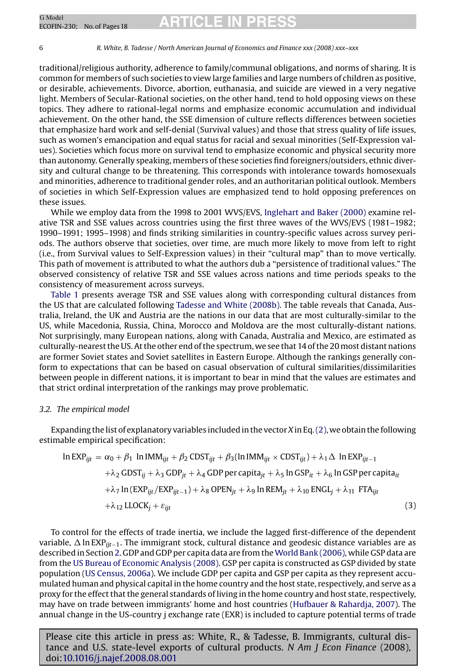<span id="page-6-0"></span>traditional/religious authority, adherence to family/communal obligations, and norms of sharing. It is common for members of such societies to view large families and large numbers of children as positive, or desirable, achievements. Divorce, abortion, euthanasia, and suicide are viewed in a very negative light. Members of Secular-Rational societies, on the other hand, tend to hold opposing views on these topics. They adhere to rational-legal norms and emphasize economic accumulation and individual achievement. On the other hand, the SSE dimension of culture reflects differences between societies that emphasize hard work and self-denial (Survival values) and those that stress quality of life issues, such as women's emancipation and equal status for racial and sexual minorities (Self-Expression values). Societies which focus more on survival tend to emphasize economic and physical security more than autonomy. Generally speaking, members of these societies find foreigners/outsiders, ethnic diversity and cultural change to be threatening. This corresponds with intolerance towards homosexuals and minorities, adherence to traditional gender roles, and an authoritarian political outlook. Members of societies in which Self-Expression values are emphasized tend to hold opposing preferences on these issues.

While we employ data from the 1998 to 2001 WVS/EVS, [Inglehart and Baker \(2000\)](#page-18-0) examine relative TSR and SSE values across countries using the first three waves of the WVS/EVS (1981–1982; 1990–1991; 1995–1998) and finds striking similarities in country-specific values across survey periods. The authors observe that societies, over time, are much more likely to move from left to right (i.e., from Survival values to Self-Expression values) in their "cultural map" than to move vertically. This path of movement is attributed to what the authors dub a "persistence of traditional values." The observed consistency of relative TSR and SSE values across nations and time periods speaks to the consistency of measurement across surveys.

[Table 1](#page-7-0) presents average TSR and SSE values along with corresponding cultural distances from the US that are calculated following [Tadesse and White \(2008b\). T](#page-18-0)he table reveals that Canada, Australia, Ireland, the UK and Austria are the nations in our data that are most culturally-similar to the US, while Macedonia, Russia, China, Morocco and Moldova are the most culturally-distant nations. Not surprisingly, many European nations, along with Canada, Australia and Mexico, are estimated as culturally-nearest the US. At the other end of the spectrum, we see that 14 of the 20 most distant nations are former Soviet states and Soviet satellites in Eastern Europe. Although the rankings generally conform to expectations that can be based on casual observation of cultural similarities/dissimilarities between people in different nations, it is important to bear in mind that the values are estimates and that strict ordinal interpretation of the rankings may prove problematic.

#### *3.2. The empirical model*

Expanding the list of explanatory variables included in the vector*X*in Eq.[\(2\), w](#page-5-0)e obtain the following estimable empirical specification:

$$
\ln \text{EXP}_{ijt} = \alpha_0 + \beta_1 \ln \text{IMM}_{ijt} + \beta_2 \text{CDST}_{ijt} + \beta_3 (\ln \text{IMM}_{ijt} \times \text{CDST}_{ijt}) + \lambda_1 \Delta \ln \text{EXP}_{ijt-1} + \lambda_2 \text{GDST}_{ij} + \lambda_3 \text{GDP}_{jt} + \lambda_4 \text{GDP per capital}_{jt} + \lambda_5 \ln \text{GSP}_{it} + \lambda_6 \ln \text{GSP per capital}_{it} + \lambda_7 \ln (\text{EXP}_{ijt}/\text{EXP}_{ijt-1}) + \lambda_8 \text{OPEN}_{jt} + \lambda_9 \ln \text{REM}_{jt} + \lambda_{10} \text{ENGL}_{j} + \lambda_{11} \text{FTA}_{ijt} + \lambda_{12} \text{LOCK}_{j} + \varepsilon_{ijt}
$$
\n(3)

To control for the effects of trade inertia, we include the lagged first-difference of the dependent variable, ln EXP*ijt*−1. The immigrant stock, cultural distance and geodesic distance variables are as described in Section [2. G](#page-3-0)DP and GDP per capita data are from the[World Bank \(2006\), w](#page-18-0)hile GSP data are from the [US Bureau of Economic Analysis \(2008\). G](#page-18-0)SP per capita is constructed as GSP divided by state population [\(US Census, 2006a\).](#page-18-0) We include GDP per capita and GSP per capita as they represent accumulated human and physical capital in the home country and the host state, respectively, and serve as a proxy for the effect that the general standards of living in the home country and host state, respectively, may have on trade between immigrants' home and host countries ([Hufbauer & Rahardja, 2007\).](#page-18-0) The annual change in the US-country j exchange rate (EXR) is included to capture potential terms of trade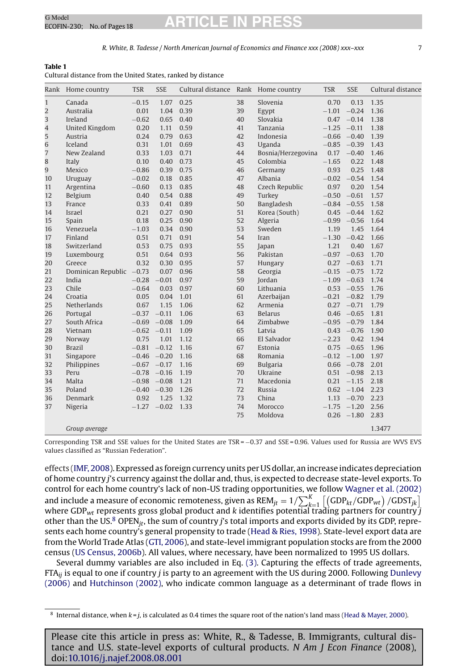<span id="page-7-0"></span>

| <b>Table 1</b>                                               |  |
|--------------------------------------------------------------|--|
| Cultural distance from the United States, ranked by distance |  |

|                | Rank Home country        | <b>TSR</b> | <b>SSE</b>    | Cultural distance |    | Rank Home country  | <b>TSR</b> | <b>SSE</b>    | Cultural distance |
|----------------|--------------------------|------------|---------------|-------------------|----|--------------------|------------|---------------|-------------------|
| $\mathbf{1}$   | Canada                   | $-0.15$    | 1.07          | 0.25              | 38 | Slovenia           | 0.70       | 0.13          | 1.35              |
| $\overline{c}$ | Australia                | 0.01       | 1.04          | 0.39              | 39 | Egypt              | $-1.01$    | $-0.24$       | 1.36              |
| 3              | Ireland                  | $-0.62$    | 0.65          | 0.40              | 40 | Slovakia           | 0.47       | $-0.14$       | 1.38              |
| 4              | <b>United Kingdom</b>    | 0.20       | 1.11          | 0.59              | 41 | Tanzania           | $-1.25$    | $-0.11$       | 1.38              |
| 5              | Austria                  | 0.24       | 0.79          | 0.63              | 42 | Indonesia          | $-0.66$    | $-0.40$       | 1.39              |
| 6              | Iceland                  | 0.31       | 1.01          | 0.69              | 43 | Uganda             | $-0.85$    | $-0.39$       | 1.43              |
| 7              | New Zealand              | 0.33       | 1.03          | 0.71              | 44 | Bosnia/Herzegovina | 0.17       | $-0.40$       | 1.46              |
| 8              | Italy                    | 0.10       | 0.40          | 0.73              | 45 | Colombia           | $-1.65$    | 0.22          | 1.48              |
| 9              | Mexico                   | $-0.86$    | 0.39          | 0.75              | 46 | Germany            | 0.93       | 0.25          | 1.48              |
| 10             | Uruguay                  | $-0.02$    | 0.18          | 0.85              | 47 | Albania            | $-0.02$    | $-0.54$       | 1.54              |
| 11             | Argentina                | $-0.60$    | 0.13          | 0.85              | 48 | Czech Republic     | 0.97       | 0.20          | 1.54              |
| 12             | Belgium                  | 0.40       | 0.54          | 0.88              | 49 | Turkey             | $-0.50$    | $-0.61$       | 1.57              |
| 13             | France                   | 0.33       | 0.41          | 0.89              | 50 | Bangladesh         |            | $-0.84 -0.55$ | 1.58              |
| 14             | Israel                   | 0.21       | 0.27          | 0.90              | 51 | Korea (South)      |            | $0.45 - 0.44$ | 1.62              |
| 15             | Spain                    | 0.18       | 0.25          | 0.90              | 52 | Algeria            | $-0.99$    | $-0.56$       | 1.64              |
| 16             | Venezuela                | $-1.03$    | 0.34          | 0.90              | 53 | Sweden             | 1.19       | 1.45          | 1.64              |
| 17             | Finland                  | 0.51       | 0.71          | 0.91              | 54 | Iran               | $-1.30$    | $-0.42$       | 1.66              |
| 18             | Switzerland              | 0.53       | 0.75          | 0.93              | 55 | Japan              | 1.21       | 0.40          | 1.67              |
| 19             | Luxembourg               | 0.51       | 0.64          | 0.93              | 56 | Pakistan           | $-0.97$    | $-0.63$       | 1.70              |
| 20             | Greece                   | 0.32       | 0.30          | 0.95              | 57 | Hungary            | 0.27       | $-0.63$       | 1.71              |
| 21             | Dominican Republic -0.73 |            | 0.07          | 0.96              | 58 | Georgia            | $-0.15$    | $-0.75$       | 1.72              |
| 22             | India                    | $-0.28$    | $-0.01$       | 0.97              | 59 | Jordan             | $-1.09$    | $-0.63$       | 1.74              |
| 23             | Chile                    | $-0.64$    | 0.03          | 0.97              | 60 | Lithuania          |            | $0.53 -0.55$  | 1.76              |
| 24             | Croatia                  | 0.05       | 0.04          | 1.01              | 61 | Azerbaijan         | $-0.21$    | $-0.82$       | 1.79              |
| 25             | Netherlands              | 0.67       | 1.15          | 1.06              | 62 | Armenia            | 0.27       | $-0.71$       | 1.79              |
| 26             | Portugal                 | $-0.37$    | $-0.11$       | 1.06              | 63 | <b>Belarus</b>     | 0.46       | $-0.65$       | 1.81              |
| 27             | South Africa             | $-0.69$    | $-0.08$       | 1.09              | 64 | Zimbabwe           | $-0.95$    | $-0.79$       | 1.84              |
| 28             | Vietnam                  | $-0.62$    | $-0.11$       | 1.09              | 65 | Latvia             | 0.43       | $-0.76$       | 1.90              |
| 29             | Norway                   | 0.75       | 1.01          | 1.12              | 66 | El Salvador        | $-2.23$    | 0.42          | 1.94              |
| 30             | <b>Brazil</b>            | $-0.81$    | $-0.12$       | 1.16              | 67 | Estonia            | 0.75       | $-0.65$       | 1.96              |
| 31             | Singapore                |            | $-0.46 -0.20$ | 1.16              | 68 | Romania            | $-0.12$    | $-1.00$       | 1.97              |
| 32             | Philippines              |            | $-0.67 -0.17$ | 1.16              | 69 | <b>Bulgaria</b>    | 0.66       | $-0.78$       | 2.01              |
| 33             | Peru                     | $-0.78$    | $-0.16$       | 1.19              | 70 | Ukraine            | 0.51       | $-0.98$       | 2.13              |
| 34             | Malta                    | $-0.98$    | $-0.08$       | 1.21              | 71 | Macedonia          | 0.21       | $-1.15$       | 2.18              |
| 35             | Poland                   | $-0.40$    | $-0.30$       | 1.26              | 72 | Russia             | 0.62       | $-1.04$       | 2.23              |
| 36             | Denmark                  | 0.92       | 1.25          | 1.32              | 73 | China              | 1.13       | $-0.70$       | 2.23              |
| 37             | Nigeria                  | $-1.27$    | $-0.02$       | 1.33              | 74 | Morocco            | $-1.75$    | $-1.20$       | 2.56              |
|                |                          |            |               |                   | 75 | Moldova            | 0.26       | $-1.80$       | 2.83              |
|                | Group average            |            |               |                   |    |                    |            |               | 1.3477            |

Corresponding TSR and SSE values for the United States are TSR = −0.37 and SSE = 0.96. Values used for Russia are WVS EVS values classified as "Russian Federation".

effects ([IMF, 2008\).](#page-18-0) Expressed as foreign currency units per US dollar, an increase indicates depreciation of home country *j*'s currency against the dollar and, thus, is expected to decrease state-level exports. To control for each home country's lack of non-US trading opportunities, we follow [Wagner et al. \(2002\)](#page-18-0) and include a measure of economic remoteness, given as  $\text{REM}_{jt} = 1/\sum_{k=1}^{K}\left[\left(\text{GDP}_{kt}/\text{GDP}_{wt}\right)/\text{GDST}_{jk}\right]$ where GDP<sub>wt</sub> represents gross global product and *k* identifies potential trading partners for country *j* where GDP<sub>wt</sub> represents gross global product and *k* identifies potential trading partners for country *j* other than the US.8 OPEN*jt*, the sum of country *j*'s total imports and exports divided by its GDP, represents each home country's general propensity to trade ([Head & Ries, 1998\).](#page-17-0) State-level export data are from the World Trade Atlas ([GTI, 2006\),](#page-17-0) and state-level immigrant population stocks are from the 2000 census [\(US Census, 2006b\).](#page-18-0) All values, where necessary, have been normalized to 1995 US dollars.

Several dummy variables are also included in Eq. [\(3\). C](#page-6-0)apturing the effects of trade agreements, FTA*ij* is equal to one if country *j* is party to an agreement with the US during 2000. Following [Dunlevy](#page-17-0) [\(2006\)](#page-17-0) and [Hutchinson \(2002\), w](#page-18-0)ho indicate common language as a determinant of trade flows in

<sup>8</sup> Internal distance, when *k* = *j*, is calculated as 0.4 times the square root of the nation's land mass [\(Head & Mayer, 2000\).](#page-17-0)

Please cite this article in press as: White, R., & Tadesse, B. Immigrants, cultural distance and U.S. state-level exports of cultural products. *N Am J Econ Finance* (2008), doi[:10.1016/j.najef.2008.08.001](dx.doi.org/10.1016/j.najef.2008.08.001)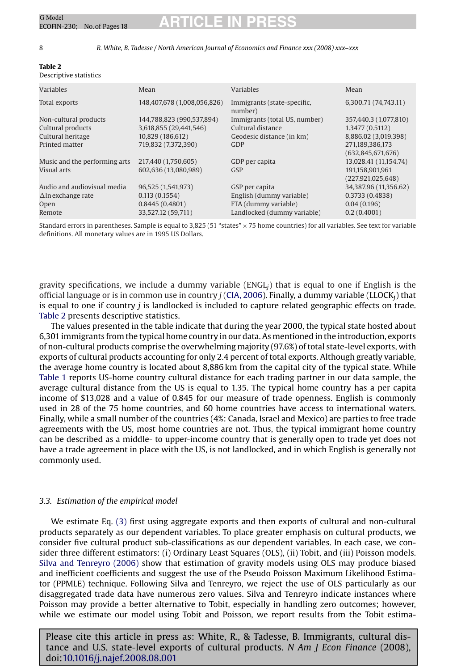<span id="page-8-0"></span>

| Table 2                |  |
|------------------------|--|
| Descriptive statistics |  |

| Variables                     | Mean                        | <b>Variables</b>                       | Mean                  |
|-------------------------------|-----------------------------|----------------------------------------|-----------------------|
| Total exports                 | 148,407,678 (1,008,056,826) | Immigrants (state-specific,<br>number) | 6,300.71 (74,743.11)  |
| Non-cultural products         | 144,788,823 (990,537,894)   | Immigrants (total US, number)          | 357,440.3 (1,077,810) |
| Cultural products             | 3,618,855 (29,441,546)      | Cultural distance                      | 1.3477 (0.5112)       |
| Cultural heritage             | 10,829 (186,612)            | Geodesic distance (in km)              | 8,886.02 (3,019.398)  |
| Printed matter                | 719,832 (7,372,390)         | GDP                                    | 271,189,386,173       |
|                               |                             |                                        | (632, 845, 671, 676)  |
| Music and the performing arts | 217,440 (1,750,605)         | GDP per capita                         | 13,028.41 (11,154.74) |
| Visual arts                   | 602,636 (13,080,989)        | <b>GSP</b>                             | 191,158,901,961       |
|                               |                             |                                        | (227, 921, 025, 648)  |
| Audio and audiovisual media   | 96,525 (1,541,973)          | GSP per capita                         | 34,387.96 (11,356.62) |
| $\Delta$ ln exchange rate     | 0.113(0.1554)               | English (dummy variable)               | 0.3733(0.4838)        |
| Open                          | 0.8445(0.4801)              | FTA (dummy variable)                   | 0.04(0.196)           |
| Remote                        | 33,527.12 (59,711)          | Landlocked (dummy variable)            | 0.2(0.4001)           |

Standard errors in parentheses. Sample is equal to 3,825 (51 "states"  $\times$  75 home countries) for all variables. See text for variable definitions. All monetary values are in 1995 US Dollars.

gravity specifications, we include a dummy variable (ENGL*j*) that is equal to one if English is the official language or is in common use in country *j* ([CIA, 2006\).](#page-18-0) Finally, a dummy variable (LLOCK*j*) that is equal to one if country *j* is landlocked is included to capture related geographic effects on trade. Table 2 presents descriptive statistics.

The values presented in the table indicate that during the year 2000, the typical state hosted about 6,301 immigrants from the typical home country in our data. As mentioned in the introduction, exports of non-cultural products comprise the overwhelming majority (97.6%) of total state-level exports, with exports of cultural products accounting for only 2.4 percent of total exports. Although greatly variable, the average home country is located about 8,886 km from the capital city of the typical state. While [Table 1](#page-7-0) reports US-home country cultural distance for each trading partner in our data sample, the average cultural distance from the US is equal to 1.35. The typical home country has a per capita income of \$13,028 and a value of 0.845 for our measure of trade openness. English is commonly used in 28 of the 75 home countries, and 60 home countries have access to international waters. Finally, while a small number of the countries (4%: Canada, Israel and Mexico) are parties to free trade agreements with the US, most home countries are not. Thus, the typical immigrant home country can be described as a middle- to upper-income country that is generally open to trade yet does not have a trade agreement in place with the US, is not landlocked, and in which English is generally not commonly used.

#### *3.3. Estimation of the empirical model*

We estimate Eq. [\(3\)](#page-6-0) first using aggregate exports and then exports of cultural and non-cultural products separately as our dependent variables. To place greater emphasis on cultural products, we consider five cultural product sub-classifications as our dependent variables. In each case, we consider three different estimators: (i) Ordinary Least Squares (OLS), (ii) Tobit, and (iii) Poisson models. [Silva and Tenreyro \(2006\)](#page-18-0) show that estimation of gravity models using OLS may produce biased and inefficient coefficients and suggest the use of the Pseudo Poisson Maximum Likelihood Estimator (PPMLE) technique. Following Silva and Tenreyro, we reject the use of OLS particularly as our disaggregated trade data have numerous zero values. Silva and Tenreyro indicate instances where Poisson may provide a better alternative to Tobit, especially in handling zero outcomes; however, while we estimate our model using Tobit and Poisson, we report results from the Tobit estima-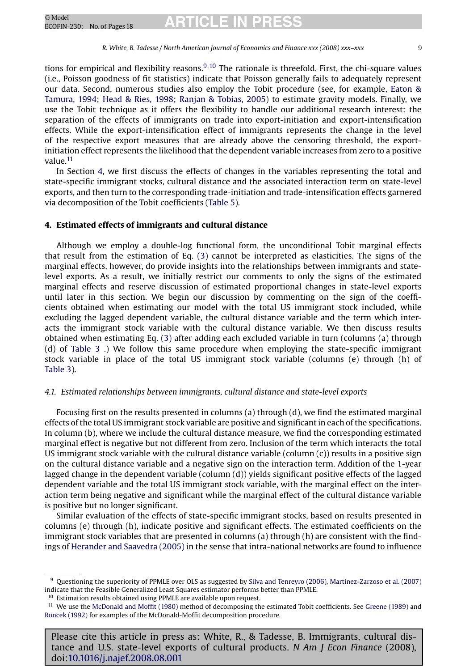<span id="page-9-0"></span>tions for empirical and flexibility reasons.<sup>9,10</sup> The rationale is threefold. First, the chi-square values (i.e., Poisson goodness of fit statistics) indicate that Poisson generally fails to adequately represent our data. Second, numerous studies also employ the Tobit procedure (see, for example, [Eaton &](#page-17-0) [Tamura, 1994;](#page-17-0) [Head & Ries, 1998;](#page-17-0) [Ranjan & Tobias, 2005\)](#page-18-0) to estimate gravity models. Finally, we use the Tobit technique as it offers the flexibility to handle our additional research interest: the separation of the effects of immigrants on trade into export-initiation and export-intensification effects. While the export-intensification effect of immigrants represents the change in the level of the respective export measures that are already above the censoring threshold, the exportinitiation effect represents the likelihood that the dependent variable increases from zero to a positive value.<sup>11</sup>

In Section 4, we first discuss the effects of changes in the variables representing the total and state-specific immigrant stocks, cultural distance and the associated interaction term on state-level exports, and then turn to the corresponding trade-initiation and trade-intensification effects garnered via decomposition of the Tobit coefficients ([Table 5\).](#page-15-0)

### **4. Estimated effects of immigrants and cultural distance**

Although we employ a double-log functional form, the unconditional Tobit marginal effects that result from the estimation of Eq. [\(3\)](#page-6-0) cannot be interpreted as elasticities. The signs of the marginal effects, however, do provide insights into the relationships between immigrants and statelevel exports. As a result, we initially restrict our comments to only the signs of the estimated marginal effects and reserve discussion of estimated proportional changes in state-level exports until later in this section. We begin our discussion by commenting on the sign of the coefficients obtained when estimating our model with the total US immigrant stock included, while excluding the lagged dependent variable, the cultural distance variable and the term which interacts the immigrant stock variable with the cultural distance variable. We then discuss results obtained when estimating Eq. [\(3\)](#page-6-0) after adding each excluded variable in turn (columns (a) through (d) of [Table 3](#page-10-0) .) We follow this same procedure when employing the state-specific immigrant stock variable in place of the total US immigrant stock variable (columns (e) through (h) of [Table 3\).](#page-10-0)

#### *4.1. Estimated relationships between immigrants, cultural distance and state-level exports*

Focusing first on the results presented in columns (a) through (d), we find the estimated marginal effects of the total US immigrant stock variable are positive and significant in each of the specifications. In column (b), where we include the cultural distance measure, we find the corresponding estimated marginal effect is negative but not different from zero. Inclusion of the term which interacts the total US immigrant stock variable with the cultural distance variable (column  $(c)$ ) results in a positive sign on the cultural distance variable and a negative sign on the interaction term. Addition of the 1-year lagged change in the dependent variable (column (d)) yields significant positive effects of the lagged dependent variable and the total US immigrant stock variable, with the marginal effect on the interaction term being negative and significant while the marginal effect of the cultural distance variable is positive but no longer significant.

Similar evaluation of the effects of state-specific immigrant stocks, based on results presented in columns (e) through (h), indicate positive and significant effects. The estimated coefficients on the immigrant stock variables that are presented in columns (a) through (h) are consistent with the findings of [Herander and Saavedra \(2005\)](#page-18-0) in the sense that intra-national networks are found to influence

<sup>9</sup> Questioning the superiority of PPMLE over OLS as suggested by [Silva and Tenreyro \(2006\),](#page-18-0) [Martinez-Zarzoso et al. \(2007\)](#page-18-0) indicate that the Feasible Generalized Least Squares estimator performs better than PPMLE.

<sup>&</sup>lt;sup>10</sup> Estimation results obtained using PPMLE are available upon request.

 $11$  We use the [McDonald and Moffit \(1980\)](#page-18-0) method of decomposing the estimated Tobit coefficients. See [Greene \(1989\)](#page-17-0) and [Roncek \(1992\)](#page-18-0) for examples of the McDonald-Moffit decomposition procedure.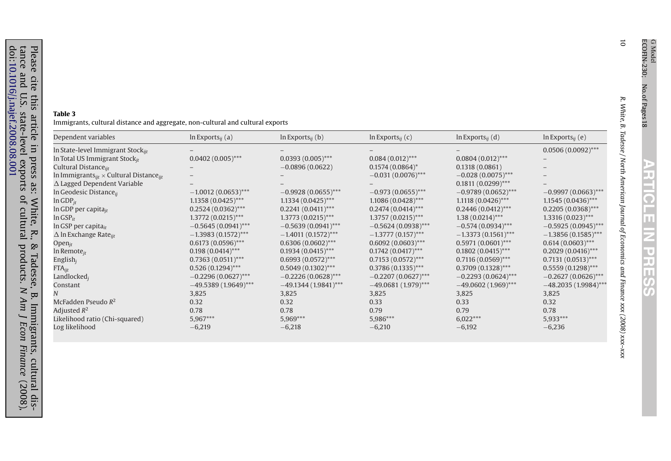<span id="page-10-0"></span>

| Dependent variables                                 | In Exports $_{ii}$ (a) | In Exports $_{ii}$ (b) | In Exports $_{ii}$ (c) | In Exports $_{ii}$ (d) | In Exports $_{ii}$ (e) |
|-----------------------------------------------------|------------------------|------------------------|------------------------|------------------------|------------------------|
| In State-level Immigrant Stockiit                   |                        |                        |                        |                        | $0.0506(0.0092)$ ***   |
| In Total US Immigrant Stock <sub>it</sub>           | $0.0402(0.005)$ ***    | $0.0393(0.005)$ ***    | $0.084(0.012)$ ***     | $0.0804(0.012)$ ***    |                        |
| Cultural Distance <sub>iit</sub>                    |                        | $-0.0896(0.0622)$      | $0.1574(0.0864)^*$     | 0.1318(0.0861)         |                        |
| In Immigrants $_{iit}$ × Cultural Distance $_{iit}$ |                        |                        | $-0.031(0.0076)$ ***   | $-0.028(0.0075)$ ***   |                        |
| $\Delta$ Lagged Dependent Variable                  |                        |                        |                        | $0.1811(0.0299)$ ***   |                        |
| In Geodesic Distance <sub>ii</sub>                  | $-1.0012(0.0653)$ ***  | $-0.9928(0.0655)$ ***  | $-0.973(0.0655)$ ***   | $-0.9789(0.0652)$ ***  | $-0.9997(0.0663)$ ***  |
| $ln GDP_{it}$                                       | 1.1358 (0.0425)***     | $1.1334(0.0425)$ ***   | $1.1086(0.0428)$ ***   | 1.1118 (0.0426)***     | $1.1545(0.0436)$ ***   |
| In GDP per capita $_{it}$                           | $0.2524(0.0362)$ ***   | $0.2241(0.0411)$ ***   | $0.2474(0.0414)$ ***   | $0.2446(0.0412)$ ***   | $0.2205(0.0368)$ ***   |
| $ln GSP_{ir}$                                       | $1.3772(0.0215)$ ***   | $1.3773(0.0215)$ ***   | $1.3757(0.0215)$ ***   | $1.38(0.0214)$ ***     | $1.3316(0.023)$ ***    |
| In GSP per capita <sub>it</sub>                     | $-0.5645(0.0941)$ ***  | $-0.5639(0.0941)$ ***  | $-0.5624(0.0938)$ ***  | $-0.574(0.0934)$ ***   | $-0.5925(0.0945)$ ***  |
| $\Delta$ In Exchange Rate <sub>ijt</sub>            | $-1.3983(0.1572)$ ***  | $-1.4011(0.1572)$ ***  | $-1.3777(0.157)$ ***   | $-1.3373(0.1561)$ ***  | $-1.3856(0.1585)$ ***  |
| Open $_{it}$                                        | $0.6173(0.0596)$ ***   | $0.6306(0.0602)$ ***   | $0.6092(0.0603)$ ***   | $0.5971(0.0601)$ ***   | $0.614(0.0603)$ ***    |
| In Remote <sub>it</sub>                             | $0.198(0.0414)$ ***    | $0.1934(0.0415)$ ***   | $0.1742(0.0417)$ ***   | $0.1802(0.0415)$ ***   | $0.2029(0.0416)$ ***   |
| English <sub>i</sub>                                | $0.7363(0.0511)***$    | $0.6993(0.0572)$ ***   | $0.7153(0.0572)$ ***   | $0.7116(0.0569)$ ***   | $0.7131(0.0513)$ ***   |
| $FTA_{\text{iif}}$                                  | $0.526(0.1294)$ ***    | $0.5049(0.1302)$ ***   | $0.3786(0.1335)$ ***   | $0.3709(0.1328)$ ***   | $0.5559(0.1298)$ ***   |
| Landlocked <sub>i</sub>                             | $-0.2296(0.0627)$ ***  | $-0.2226(0.0628)$ ***  | $-0.2207(0.0627)$ ***  | $-0.2293(0.0624)$ ***  | $-0.2627(0.0626)$ ***  |
| Constant                                            | $-49.5389(1.9649)$ *** | $-49.1344(1.9841)$ *** | $-49.0681(1.979)$ ***  | $-49.0602(1.969)$ ***  | $-48,2035(1.9984)$ **  |
|                                                     | 3,825                  | 3.825                  | 3,825                  | 3.825                  | 3,825                  |
| McFadden Pseudo $R^2$                               | 0.32                   | 0.32                   | 0.33                   | 0.33                   | 0.32                   |
| Adjusted $R^2$                                      | 0.78                   | 0.78                   | 0.79                   | 0.79                   | 0.78                   |
| Likelihood ratio (Chi-squared)                      | $5,967***$             | 5,969***               | 5,986***               | $6,022***$             | $5,933***$             |
| Log likelihood                                      | $-6,219$               | $-6,218$               | $-6,210$               | $-6,192$               | $-6,236$               |

 $\overline{\mathsf{o}}$ 

HTCL

ш

 $\overline{\mathbb{C}}$ 刀而  $\mathcal{L}_{\mathbb{P}}$ ď p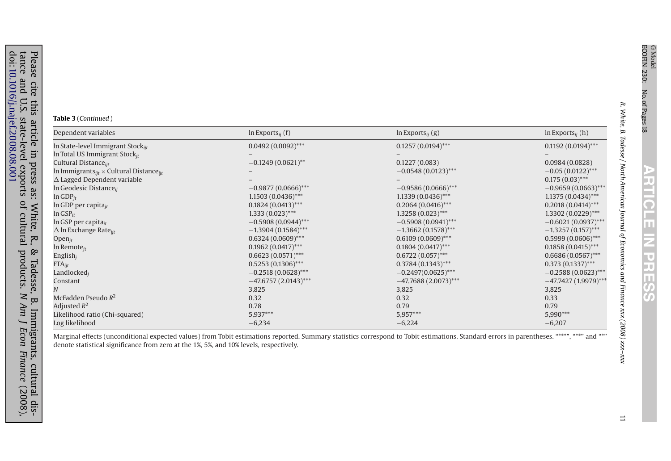Please cite this article in press as: White, R.,<br>tance and U.S. state-level exports of cultural<br>doi:10.1016/j.najef.2008.08.001 doi[:10.1016/j.najef.2008.08.001](dx.doi.org/10.1016/j.najef.2008.08.001) tance and U.S. state-level exports of cultural products. Please cite this article in press as: White, R., & Tadesse, B. Immigrants, cultural dis-& Tadesse, B. Immigrants, cultural disproducts. N  $Am \int Econ$  Finance (2008), *N Am J Econ Finance*

| In Exports <sub>ii</sub> $(f)$ | In Exports <sub>ii</sub> $(g)$                                                                                                                                                                                                          | $ln$ Exports <sub>ii</sub> (h)                                                                                                                                                                                                          |
|--------------------------------|-----------------------------------------------------------------------------------------------------------------------------------------------------------------------------------------------------------------------------------------|-----------------------------------------------------------------------------------------------------------------------------------------------------------------------------------------------------------------------------------------|
| $0.0492(0.0092)$ ***           | $0.1257(0.0194)$ ***                                                                                                                                                                                                                    | $0.1192(0.0194)$ ***                                                                                                                                                                                                                    |
|                                |                                                                                                                                                                                                                                         |                                                                                                                                                                                                                                         |
| $-0.1249(0.0621)$ **           | 0.1227(0.083)                                                                                                                                                                                                                           | 0.0984(0.0828)                                                                                                                                                                                                                          |
|                                | $-0.0548(0.0123)$ ***                                                                                                                                                                                                                   | $-0.05(0.0122)$ ***                                                                                                                                                                                                                     |
|                                |                                                                                                                                                                                                                                         | $0.175(0.03)$ ***                                                                                                                                                                                                                       |
| $-0.9877(0.0666)$ ***          | $-0.9586(0.0666)$ ***                                                                                                                                                                                                                   | $-0.9659(0.0663)$ ***                                                                                                                                                                                                                   |
| $1.1503(0.0436)$ ***           | 1.1339 (0.0436)***                                                                                                                                                                                                                      | $1.1375(0.0434)$ ***                                                                                                                                                                                                                    |
|                                | $0.2064(0.0416)$ ***                                                                                                                                                                                                                    | $0.2018(0.0414)$ ***                                                                                                                                                                                                                    |
| $1.333(0.023)$ ***             | $1.3258(0.023)$ ***                                                                                                                                                                                                                     | 1.3302 (0.0229)***                                                                                                                                                                                                                      |
|                                |                                                                                                                                                                                                                                         | $-0.6021(0.0937)$ ***                                                                                                                                                                                                                   |
| $-1.3904(0.1584)$ ***          |                                                                                                                                                                                                                                         | $-1.3257(0.157)$ ***                                                                                                                                                                                                                    |
|                                |                                                                                                                                                                                                                                         | $0.5999(0.0606)$ ***                                                                                                                                                                                                                    |
|                                |                                                                                                                                                                                                                                         | $0.1858(0.0415)$ ***                                                                                                                                                                                                                    |
|                                |                                                                                                                                                                                                                                         | $0.6686(0.0567)$ ***                                                                                                                                                                                                                    |
|                                |                                                                                                                                                                                                                                         | $0.373(0.1337)$ ***                                                                                                                                                                                                                     |
|                                |                                                                                                                                                                                                                                         | $-0.2588(0.0623)$ ***                                                                                                                                                                                                                   |
|                                |                                                                                                                                                                                                                                         | $-47.7427(1.9979)$ ***                                                                                                                                                                                                                  |
|                                |                                                                                                                                                                                                                                         | 3,825                                                                                                                                                                                                                                   |
|                                |                                                                                                                                                                                                                                         | 0.33                                                                                                                                                                                                                                    |
|                                |                                                                                                                                                                                                                                         | 0.79                                                                                                                                                                                                                                    |
|                                |                                                                                                                                                                                                                                         | $5,990***$                                                                                                                                                                                                                              |
| $-6,234$                       | $-6,224$                                                                                                                                                                                                                                | $-6,207$                                                                                                                                                                                                                                |
|                                | $0.1824(0.0413)$ ***<br>$-0.5908(0.0944)$ ***<br>$0.6324(0.0609)$ ***<br>$0.1962(0.0417)$ ***<br>$0.6623(0.0571)$ ***<br>$0.5253(0.1306)$ ***<br>$-0.2518(0.0628)$ ***<br>$-47.6757(2.0143)$ ***<br>3,825<br>0.32<br>0.78<br>$5.937***$ | $-0.5908(0.0941)$ ***<br>$-1.3662(0.1578)$ ***<br>$0.6109(0.0609)$ ***<br>$0.1804(0.0417)$ ***<br>$0.6722(0.057)$ ***<br>$0.3784(0.1343)$ ***<br>$-0.2497(0.0625)$ ***<br>$-47.7688(2.0073)$ ***<br>3,825<br>0.32<br>0.79<br>$5.957***$ |

*R. White, B. Tadesse / North American Journal of Economics and Finance xxx (2008) xxx–xxx*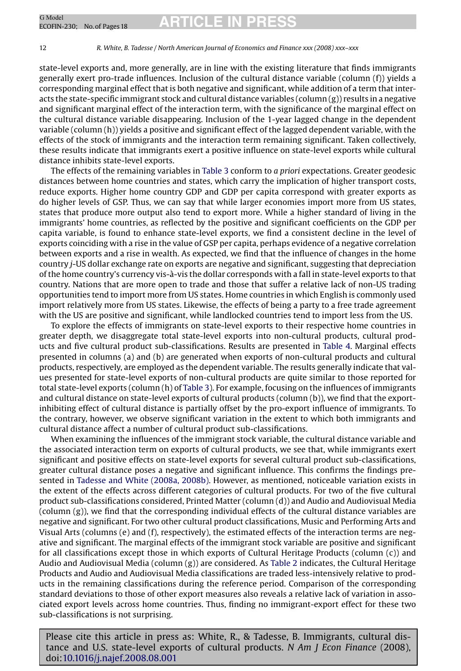state-level exports and, more generally, are in line with the existing literature that finds immigrants generally exert pro-trade influences. Inclusion of the cultural distance variable (column (f)) yields a corresponding marginal effect that is both negative and significant, while addition of a term that interacts the state-specific immigrant stock and cultural distance variables (column  $(g)$ ) results in a negative and significant marginal effect of the interaction term, with the significance of the marginal effect on the cultural distance variable disappearing. Inclusion of the 1-year lagged change in the dependent variable (column (h)) yields a positive and significant effect of the lagged dependent variable, with the effects of the stock of immigrants and the interaction term remaining significant. Taken collectively, these results indicate that immigrants exert a positive influence on state-level exports while cultural distance inhibits state-level exports.

The effects of the remaining variables in [Table 3](#page-10-0) conform to *a priori* expectations. Greater geodesic distances between home countries and states, which carry the implication of higher transport costs, reduce exports. Higher home country GDP and GDP per capita correspond with greater exports as do higher levels of GSP. Thus, we can say that while larger economies import more from US states, states that produce more output also tend to export more. While a higher standard of living in the immigrants' home countries, as reflected by the positive and significant coefficients on the GDP per capita variable, is found to enhance state-level exports, we find a consistent decline in the level of exports coinciding with a rise in the value of GSP per capita, perhaps evidence of a negative correlation between exports and a rise in wealth. As expected, we find that the influence of changes in the home country *j*-US dollar exchange rate on exports are negative and significant, suggesting that depreciation of the home country's currency vis-à-vis the dollar corresponds with a fall in state-level exports to that country. Nations that are more open to trade and those that suffer a relative lack of non-US trading opportunities tend to import more from US states. Home countries in which English is commonly used import relatively more from US states. Likewise, the effects of being a party to a free trade agreement with the US are positive and significant, while landlocked countries tend to import less from the US.

To explore the effects of immigrants on state-level exports to their respective home countries in greater depth, we disaggregate total state-level exports into non-cultural products, cultural products and five cultural product sub-classifications. Results are presented in [Table 4.](#page-13-0) Marginal effects presented in columns (a) and (b) are generated when exports of non-cultural products and cultural products, respectively, are employed as the dependent variable. The results generally indicate that values presented for state-level exports of non-cultural products are quite similar to those reported for total state-level exports (column (h) of [Table 3\).](#page-10-0) For example, focusing on the influences of immigrants and cultural distance on state-level exports of cultural products (column (b)), we find that the exportinhibiting effect of cultural distance is partially offset by the pro-export influence of immigrants. To the contrary, however, we observe significant variation in the extent to which both immigrants and cultural distance affect a number of cultural product sub-classifications.

When examining the influences of the immigrant stock variable, the cultural distance variable and the associated interaction term on exports of cultural products, we see that, while immigrants exert significant and positive effects on state-level exports for several cultural product sub-classifications, greater cultural distance poses a negative and significant influence. This confirms the findings presented in [Tadesse and White \(2008a, 2008b\). H](#page-18-0)owever, as mentioned, noticeable variation exists in the extent of the effects across different categories of cultural products. For two of the five cultural product sub-classifications considered, Printed Matter (column (d)) and Audio and Audiovisual Media (column (g)), we find that the corresponding individual effects of the cultural distance variables are negative and significant. For two other cultural product classifications, Music and Performing Arts and Visual Arts (columns (e) and (f), respectively), the estimated effects of the interaction terms are negative and significant. The marginal effects of the immigrant stock variable are positive and significant for all classifications except those in which exports of Cultural Heritage Products (column (c)) and Audio and Audiovisual Media (column (g)) are considered. As [Table 2](#page-8-0) indicates, the Cultural Heritage Products and Audio and Audiovisual Media classifications are traded less-intensively relative to products in the remaining classifications during the reference period. Comparison of the corresponding standard deviations to those of other export measures also reveals a relative lack of variation in associated export levels across home countries. Thus, finding no immigrant-export effect for these two sub-classifications is not surprising.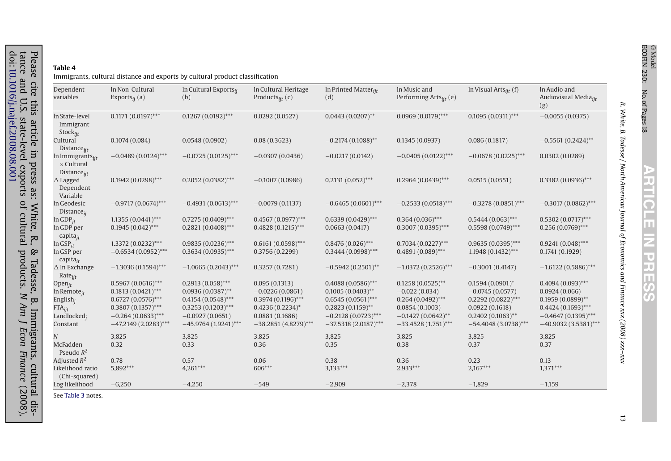## <span id="page-13-0"></span>**Table 4**

Immigrants, cultural distance and exports by cultural product classification

| Dependent<br>variables                                                       | In Non-Cultural<br>Exports $_{ii}$ (a)         | In Cultural Exports <sub>ii</sub><br>(b)    | In Cultural Heritage<br>Products $_{ii}$ (c) | In Printed Matter <sub>iit</sub><br>(d)         | In Music and<br>Performing Arts <sub>iit</sub> (e) | In Visual Arts $_{iif}$ (f)                   | In Audio and<br>Audiovisual Media <sub>iit</sub><br>(g) |
|------------------------------------------------------------------------------|------------------------------------------------|---------------------------------------------|----------------------------------------------|-------------------------------------------------|----------------------------------------------------|-----------------------------------------------|---------------------------------------------------------|
| In State-level<br>Immigrant<br>Stockiit                                      | $0.1171(0.0197)$ ***                           | $0.1267(0.0192)$ ***                        | 0.0292(0.0527)                               | $0.0443(0.0207)$ **                             | $0.0969(0.0179)$ ***                               | $0.1095(0.0311)$ ***                          | $-0.0055(0.0375)$                                       |
| Cultural<br>Distance $_{iif}$                                                | 0.1074(0.084)                                  | 0.0548(0.0902)                              | 0.08(0.3623)                                 | $-0.2174(0.1088)$ **                            | 0.1345(0.0937)                                     | 0.086(0.1817)                                 | $-0.5561(0.2424)$ **                                    |
| In Immigrants <sub>iit</sub><br>$\times$ Cultural<br>Distance <sub>iit</sub> | $-0.0489(0.0124)$ ***                          | $-0.0725(0.0125)$ ***                       | $-0.0307(0.0436)$                            | $-0.0217(0.0142)$                               | $-0.0405(0.0122)$ ***                              | $-0.0678(0.0225)$ ***                         | 0.0302(0.0289)                                          |
| $\Delta$ Lagged<br>Dependent<br>Variable                                     | $0.1942(0.0298)$ ***                           | $0.2052(0.0382)$ ***                        | $-0.1007(0.0986)$                            | $0.2131(0.052)$ ***                             | $0.2964(0.0439)$ ***                               | 0.0515(0.0551)                                | $0.3382(0.0936)$ ***                                    |
| In Geodesic<br>Distance <sub>ii</sub>                                        | $-0.9717(0.0674)$ ***                          | $-0.4931(0.0613)$ ***                       | $-0.0079(0.1137)$                            | $-0.6465(0.0601)$ ***                           | $-0.2533(0.0518)$ ***                              | $-0.3278(0.0851)$ ***                         | $-0.3017(0.0862)$ ***                                   |
| $ln GDP_{it}$                                                                | $1.1355(0.0441)$ ***                           | $0.7275(0.0409)$ ***                        | $0.4567(0.0977)$ ***                         | $0.6339(0.0429)$ ***                            | $0.364(0.036)$ ***                                 | $0.5444(0.063)$ ***                           | $0.5302(0.0717)$ ***                                    |
| In GDP per<br>capita $_{it}$                                                 | $0.1945(0.042)$ ***                            | $0.2821(0.0408)$ ***                        | $0.4828(0.1215)$ ***                         | 0.0663(0.0417)                                  | $0.3007(0.0395)$ ***                               | $0.5598(0.0749)$ ***                          | $0.256(0.0769)$ ***                                     |
| $ln GSP_{it}$                                                                | 1.3372 (0.0232)***                             | $0.9835(0.0236)$ ***                        | $0.6161(0.0598)$ ***                         | $0.8476(0.026)$ ***                             | $0.7034(0.0227)$ ***                               | $0.9635(0.0395)$ ***                          | $0.9241(0.048)$ ***                                     |
| In GSP per<br>$capita_{it}$                                                  | $-0.6534(0.0952)$ ***                          | $0.3634(0.0935)$ ***                        | 0.3756(0.2299)                               | $0.3444(0.0998)$ ***                            | $0.4891(0.089)$ ***                                | 1.1948 (0.1432)***                            | 0.1741(0.1929)                                          |
| $\Delta$ ln Exchange<br>$Rate_{\text{fit}}$                                  | $-1.3036(0.1594)$ ***                          | $-1.0665(0.2043)$ ***                       | 0.3257(0.7281)                               | $-0.5942(0.2501)$ **                            | $-1.0372(0.2526)$ ***                              | $-0.3001(0.4147)$                             | $-1.6122(0.5886)$ ***                                   |
| Open $_{it}$                                                                 | $0.5967(0.0616)$ ***                           | $0.2913(0.058)$ ***                         | 0.095(0.1313)                                | $0.4088(0.0586)$ ***                            | $0.1258(0.0525)$ **                                | $0.1594(0.0901)^{*}$                          | $0.4094(0.093)$ ***                                     |
| In Remote <sub>it</sub>                                                      | $0.1813(0.0421)$ ***                           | $0.0936(0.0387)$ **                         | $-0.0226(0.0861)$                            | $0.1005(0.0403)$ **                             | $-0.022(0.034)$                                    | $-0.0745(0.0577)$                             | 0.0924(0.066)                                           |
| English <sub>i</sub>                                                         | $0.6727(0.0576)$ ***                           | $0.4154(0.0548)$ ***                        | $0.3974(0.1196)$ ***                         | $0.6545(0.0561)$ ***                            | $0.264(0.0492)$ ***                                | $0.2292(0.0822)$ ***                          | $0.1959(0.0899)$ **                                     |
| $FTA_{\text{ijf}}$                                                           | $0.3807(0.1357)$ ***                           | $0.3253(0.1203)$ ***                        | $0.4236(0.2234)^*$                           | $0.2823(0.1159)$ **                             | 0.0854(0.1003)                                     | 0.0922(0.1618)                                | $0.4424(0.1693)$ ***                                    |
| Landlocked <sub>i</sub><br>Constant                                          | $-0.264(0.0633)$ ***<br>$-47.2149(2.0283)$ *** | $-0.0927(0.0651)$<br>$-45.9764(1.9241)$ *** | 0.0881(0.1686)<br>$-38.2851(4.8279)$ ***     | $-0.2128(0.0723)$ ***<br>$-37.5318(2.0187)$ *** | $-0.1427(0.0642)$ **<br>$-33.4528(1.751)$ ***      | $0.2402(0.1063)$ **<br>$-54.4048(3.0738)$ *** | $-0.4647(0.1395)$ ***<br>$-40.9032(3.5381)$ ***         |
| N                                                                            | 3.825                                          | 3,825                                       | 3,825                                        | 3,825                                           | 3,825                                              | 3,825                                         | 3,825                                                   |
| McFadden<br>Pseudo $R^2$                                                     | 0.32                                           | 0.33                                        | 0.36                                         | 0.35                                            | 0.38                                               | 0.37                                          | 0.37                                                    |
| Adjusted $R^2$                                                               | 0.78                                           | 0.57                                        | 0.06                                         | 0.38                                            | 0.36                                               | 0.23                                          | 0.13                                                    |
| Likelihood ratio<br>(Chi-squared)                                            | 5,892***                                       | $4,261***$                                  | 606***                                       | $3,133***$                                      | $2,933***$                                         | $2,167***$                                    | $1,371***$                                              |
| Log likelihood                                                               | $-6,250$                                       | $-4,250$                                    | $-549$                                       | $-2,909$                                        | $-2,378$                                           | $-1,829$                                      | $-1,159$                                                |

See [Table](#page-10-0) 3 notes.

E  $\frac{1}{\Omega}$ л Щ z

万元而  $\bm G$ T

*R. White, B. Tadesse / North American Journal of Economics and Finance xxx (2008) xxx–xxx*

R. White, B. Tadesse / North American Journal of Economics and Finance xxx (2008) xxx-xxx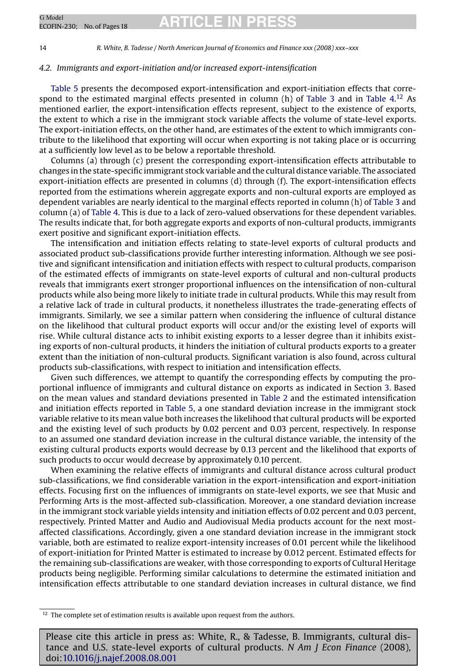#### *4.2. Immigrants and export-initiation and/or increased export-intensification*

[Table 5](#page-15-0) presents the decomposed export-intensification and export-initiation effects that corre-spond to the estimated marginal effects presented in column (h) of [Table 3](#page-10-0) and in [Table 4.](#page-13-0) $^{12}$  As mentioned earlier, the export-intensification effects represent, subject to the existence of exports, the extent to which a rise in the immigrant stock variable affects the volume of state-level exports. The export-initiation effects, on the other hand, are estimates of the extent to which immigrants contribute to the likelihood that exporting will occur when exporting is not taking place or is occurring at a sufficiently low level as to be below a reportable threshold.

Columns (a) through (c) present the corresponding export-intensification effects attributable to changes in the state-specific immigrant stock variable and the cultural distance variable. The associated export-initiation effects are presented in columns (d) through (f). The export-intensification effects reported from the estimations wherein aggregate exports and non-cultural exports are employed as dependent variables are nearly identical to the marginal effects reported in column (h) of [Table 3](#page-10-0) and column (a) of [Table 4. T](#page-13-0)his is due to a lack of zero-valued observations for these dependent variables. The results indicate that, for both aggregate exports and exports of non-cultural products, immigrants exert positive and significant export-initiation effects.

The intensification and initiation effects relating to state-level exports of cultural products and associated product sub-classifications provide further interesting information. Although we see positive and significant intensification and initiation effects with respect to cultural products, comparison of the estimated effects of immigrants on state-level exports of cultural and non-cultural products reveals that immigrants exert stronger proportional influences on the intensification of non-cultural products while also being more likely to initiate trade in cultural products. While this may result from a relative lack of trade in cultural products, it nonetheless illustrates the trade-generating effects of immigrants. Similarly, we see a similar pattern when considering the influence of cultural distance on the likelihood that cultural product exports will occur and/or the existing level of exports will rise. While cultural distance acts to inhibit existing exports to a lesser degree than it inhibits existing exports of non-cultural products, it hinders the initiation of cultural products exports to a greater extent than the initiation of non-cultural products. Significant variation is also found, across cultural products sub-classifications, with respect to initiation and intensification effects.

Given such differences, we attempt to quantify the corresponding effects by computing the proportional influence of immigrants and cultural distance on exports as indicated in Section [3.](#page-4-0) Based on the mean values and standard deviations presented in [Table 2](#page-8-0) and the estimated intensification and initiation effects reported in [Table 5, a](#page-15-0) one standard deviation increase in the immigrant stock variable relative to its mean value both increases the likelihood that cultural products will be exported and the existing level of such products by 0.02 percent and 0.03 percent, respectively. In response to an assumed one standard deviation increase in the cultural distance variable, the intensity of the existing cultural products exports would decrease by 0.13 percent and the likelihood that exports of such products to occur would decrease by approximately 0.10 percent.

When examining the relative effects of immigrants and cultural distance across cultural product sub-classifications, we find considerable variation in the export-intensification and export-initiation effects. Focusing first on the influences of immigrants on state-level exports, we see that Music and Performing Arts is the most-affected sub-classification. Moreover, a one standard deviation increase in the immigrant stock variable yields intensity and initiation effects of 0.02 percent and 0.03 percent, respectively. Printed Matter and Audio and Audiovisual Media products account for the next mostaffected classifications. Accordingly, given a one standard deviation increase in the immigrant stock variable, both are estimated to realize export-intensity increases of 0.01 percent while the likelihood of export-initiation for Printed Matter is estimated to increase by 0.012 percent. Estimated effects for the remaining sub-classifications are weaker, with those corresponding to exports of Cultural Heritage products being negligible. Performing similar calculations to determine the estimated initiation and intensification effects attributable to one standard deviation increases in cultural distance, we find

<sup>&</sup>lt;sup>12</sup> The complete set of estimation results is available upon request from the authors.

Please cite this article in press as: White, R., & Tadesse, B. Immigrants, cultural distance and U.S. state-level exports of cultural products. *N Am J Econ Finance* (2008), doi[:10.1016/j.najef.2008.08.001](dx.doi.org/10.1016/j.najef.2008.08.001)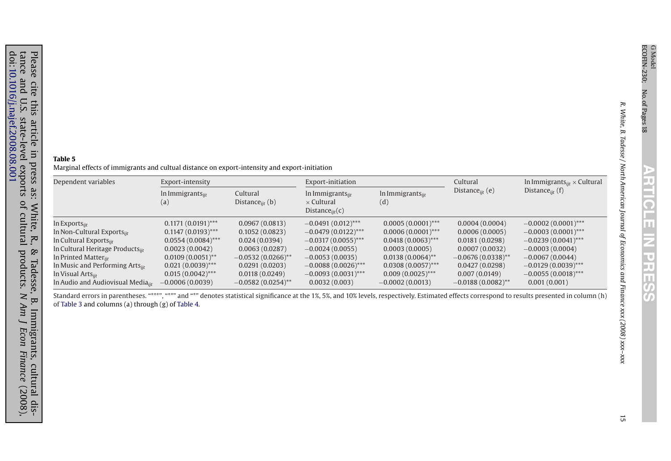T

Ü IJ DΙ. ď,

<span id="page-15-0"></span>

| Dependent variables                                                                                                                                                                                                                                                         | Export-intensity                                                                                                                                                                 |                                                                                                                                                         | Export-initiation                                                                                                                                                                   |                                                                                                                                                                                   | Cultural                                                                                                                                                | In Immigrants $_{ii}$ × Cultural                                                                                                                                                                  |
|-----------------------------------------------------------------------------------------------------------------------------------------------------------------------------------------------------------------------------------------------------------------------------|----------------------------------------------------------------------------------------------------------------------------------------------------------------------------------|---------------------------------------------------------------------------------------------------------------------------------------------------------|-------------------------------------------------------------------------------------------------------------------------------------------------------------------------------------|-----------------------------------------------------------------------------------------------------------------------------------------------------------------------------------|---------------------------------------------------------------------------------------------------------------------------------------------------------|---------------------------------------------------------------------------------------------------------------------------------------------------------------------------------------------------|
|                                                                                                                                                                                                                                                                             | In Immigrants <sub>iit</sub><br>(a)                                                                                                                                              | Cultural<br>Distance $_{ii}$ (b)                                                                                                                        | $ln$ Immigrants $_{iif}$<br>$\times$ Cultural<br>Distance $_{ii}(c)$                                                                                                                | In Immigrants <sub>iit</sub><br>(d)                                                                                                                                               | Distance $_{ii}$ (e)                                                                                                                                    | Distance $_{ii}$ (f)                                                                                                                                                                              |
| In Exports <sub>iit</sub><br>In Non-Cultural Exportsiit<br>In Cultural Exports <sub>iit</sub><br>In Cultural Heritage Productsiit<br>In Printed Matterit<br>In Music and Performing Artsit<br>In Visual Arts <sub>iit</sub><br>In Audio and Audiovisual Media <sub>it</sub> | $0.1171(0.0191)$ ***<br>$0.1147(0.0193)$ ***<br>$0.0554(0.0084)$ ***<br>0.0023(0.0042)<br>$0.0109(0.0051)$ **<br>$0.021(0.0039)$ ***<br>$0.015(0.0042)$ ***<br>$-0.0006(0.0039)$ | 0.0967(0.0813)<br>0.1052(0.0823)<br>0.024(0.0394)<br>0.0063(0.0287)<br>$-0.0532(0.0266)$ **<br>0.0291(0.0203)<br>0.0118(0.0249)<br>$-0.0582(0.0254)$ ** | $-0.0491(0.012)$ ***<br>$-0.0479(0.0122)$ ***<br>$-0.0317(0.0055)$ ***<br>$-0.0024(0.0055)$<br>$-0.0053(0.0035)$<br>$-0.0088(0.0026)$ ***<br>$-0.0093(0.0031)$ ***<br>0.0032(0.003) | $0.0005(0.0001)$ ***<br>$0.0006(0.0001)$ ***<br>$0.0418(0.0063)$ ***<br>0.0003(0.0005)<br>$0.0138(0.0064)$ **<br>$0.0308(0.0057)$ ***<br>$0.009(0.0025)$ ***<br>$-0.0002(0.0013)$ | 0.0004(0.0004)<br>0.0006(0.0005)<br>0.0181(0.0298)<br>0.0007(0.0032)<br>$-0.0676(0.0338)$ **<br>0.0427(0.0298)<br>0.007(0.0149)<br>$-0.0188(0.0082)$ ** | $-0.0002(0.0001)$ ***<br>$-0.0003(0.0001)$ ***<br>$-0.0239(0.0041)$ ***<br>$-0.0003(0.0004)$<br>$-0.0067(0.0044)$<br>$-0.0129(0.0039)$ ***<br>$-0.0055(0.0018)$ ***<br>0.001(0.001)               |
|                                                                                                                                                                                                                                                                             |                                                                                                                                                                                  |                                                                                                                                                         |                                                                                                                                                                                     |                                                                                                                                                                                   |                                                                                                                                                         |                                                                                                                                                                                                   |
| of Table 3 and columns (a) through (g) of Table 4.                                                                                                                                                                                                                          |                                                                                                                                                                                  |                                                                                                                                                         |                                                                                                                                                                                     |                                                                                                                                                                                   |                                                                                                                                                         | Standard errors in parentheses. "***", "**" and "*" denotes statistical significance at the 1%, 5%, and 10% levels, respectively. Estimated effects correspond to results presented in column (h) |

*R. White, B. Tadesse / North American Journal of Economics and Finance xxx (2008) xxx–xxx*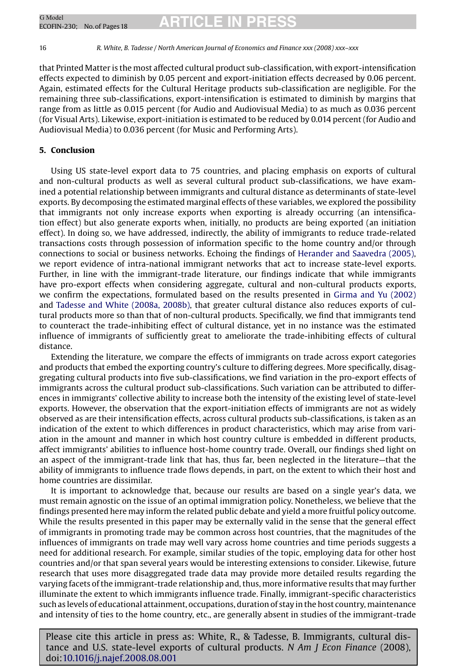that Printed Matter is the most affected cultural product sub-classification, with export-intensification effects expected to diminish by 0.05 percent and export-initiation effects decreased by 0.06 percent. Again, estimated effects for the Cultural Heritage products sub-classification are negligible. For the remaining three sub-classifications, export-intensification is estimated to diminish by margins that range from as little as 0.015 percent (for Audio and Audiovisual Media) to as much as 0.036 percent (for Visual Arts). Likewise, export-initiation is estimated to be reduced by 0.014 percent (for Audio and Audiovisual Media) to 0.036 percent (for Music and Performing Arts).

### **5. Conclusion**

Using US state-level export data to 75 countries, and placing emphasis on exports of cultural and non-cultural products as well as several cultural product sub-classifications, we have examined a potential relationship between immigrants and cultural distance as determinants of state-level exports. By decomposing the estimated marginal effects of these variables, we explored the possibility that immigrants not only increase exports when exporting is already occurring (an intensification effect) but also generate exports when, initially, no products are being exported (an initiation effect). In doing so, we have addressed, indirectly, the ability of immigrants to reduce trade-related transactions costs through possession of information specific to the home country and/or through connections to social or business networks. Echoing the findings of [Herander and Saavedra \(2005\),](#page-18-0) we report evidence of intra-national immigrant networks that act to increase state-level exports. Further, in line with the immigrant-trade literature, our findings indicate that while immigrants have pro-export effects when considering aggregate, cultural and non-cultural products exports, we confirm the expectations, formulated based on the results presented in [Girma and Yu \(2002\)](#page-17-0) and [Tadesse and White \(2008a, 2008b\), t](#page-18-0)hat greater cultural distance also reduces exports of cultural products more so than that of non-cultural products. Specifically, we find that immigrants tend to counteract the trade-inhibiting effect of cultural distance, yet in no instance was the estimated influence of immigrants of sufficiently great to ameliorate the trade-inhibiting effects of cultural distance.

Extending the literature, we compare the effects of immigrants on trade across export categories and products that embed the exporting country's culture to differing degrees. More specifically, disaggregating cultural products into five sub-classifications, we find variation in the pro-export effects of immigrants across the cultural product sub-classifications. Such variation can be attributed to differences in immigrants' collective ability to increase both the intensity of the existing level of state-level exports. However, the observation that the export-initiation effects of immigrants are not as widely observed as are their intensification effects, across cultural products sub-classifications, is taken as an indication of the extent to which differences in product characteristics, which may arise from variation in the amount and manner in which host country culture is embedded in different products, affect immigrants' abilities to influence host-home country trade. Overall, our findings shed light on an aspect of the immigrant-trade link that has, thus far, been neglected in the literature—that the ability of immigrants to influence trade flows depends, in part, on the extent to which their host and home countries are dissimilar.

It is important to acknowledge that, because our results are based on a single year's data, we must remain agnostic on the issue of an optimal immigration policy. Nonetheless, we believe that the findings presented here may inform the related public debate and yield a more fruitful policy outcome. While the results presented in this paper may be externally valid in the sense that the general effect of immigrants in promoting trade may be common across host countries, that the magnitudes of the influences of immigrants on trade may well vary across home countries and time periods suggests a need for additional research. For example, similar studies of the topic, employing data for other host countries and/or that span several years would be interesting extensions to consider. Likewise, future research that uses more disaggregated trade data may provide more detailed results regarding the varying facets of the immigrant-trade relationship and, thus, more informative results that may further illuminate the extent to which immigrants influence trade. Finally, immigrant-specific characteristics such as levels of educational attainment, occupations, duration of stay in the host country, maintenance and intensity of ties to the home country, etc., are generally absent in studies of the immigrant-trade

<span id="page-16-0"></span>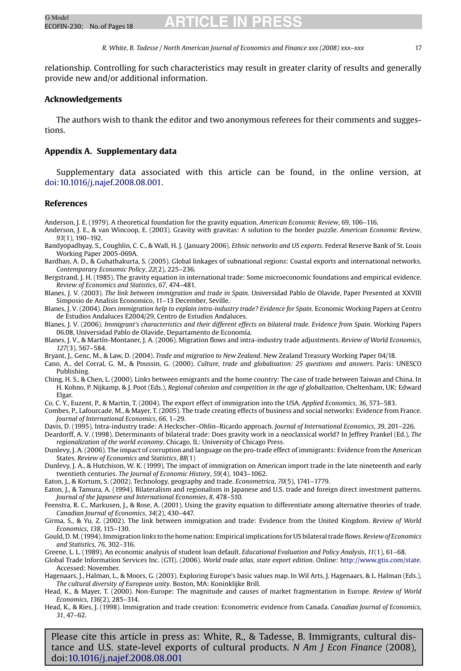<span id="page-17-0"></span>relationship. Controlling for such characteristics may result in greater clarity of results and generally provide new and/or additional information.

#### **Acknowledgements**

The authors wish to thank the editor and two anonymous referees for their comments and suggestions.

#### **Appendix A. Supplementary data**

Supplementary data associated with this article can be found, in the online version, at [doi:10.1016/j.najef.2008.08.001.](http://dx.doi.org/10.1016/j.najef.2008.08.001)

#### **References**

Anderson, J. E. (1979). A theoretical foundation for the gravity equation. *American Economic Review*, *69*, 106–116.

- Anderson, J. E., & van Wincoop, E. (2003). Gravity with gravitas: A solution to the border puzzle. *American Economic Review*, *93*(1), 190–192.
- Bandyopadhyay, S., Coughlin, C. C., & Wall, H. J. (January 2006). *Ethnic networks and US exports*. Federal Reserve Bank of St. Louis Working Paper 2005-069A.
- Bardhan, A. D., & Guhathakurta, S. (2005). Global linkages of subnational regions: Coastal exports and international networks. *Contemporary Economic Policy*, *22*(2), 225–236.
- Bergstrand, J. H. (1985). The gravity equation in international trade: Some microeconomic foundations and empirical evidence. *Review of Economics and Statistics*, *67*, 474–481.
- Blanes, J. V. (2003). *The link between immigration and trade in Spain*. Universidad Pablo de Olavide, Paper Presented at XXVIII Simposio de Analisis Economico, 11–13 December, Seville.
- Blanes, J. V. (2004). *Does immigration help to explain intra-industry trade? Evidence for Spain*. Economic Working Papers at Centro de Estudios Andaluces E2004/29, Centro de Estudios Andaluces.
- Blanes, J. V. (2006). *Immigrant's characteristics and their different effects on bilateral trade. Evidence from Spain*. Working Papers 06.08, Universidad Pablo de Olavide, Departamento de Economía.
- Blanes, J. V., & Martín-Montaner, J. A. (2006). Migration flows and intra-industry trade adjustments. *Review of World Economics*, *127*(3), 567–584.
- Bryant, J., Genc, M., & Law, D. (2004). *Trade and migration to New Zealand*. New Zealand Treasury Working Paper 04/18.
- Cano, A., del Corral, G. M., & Poussin, G. (2000). *Culture, trade and globalisation: 25 questions and answers*. Paris: UNESCO Publishing.
- Ching, H. S., & Chen, L. (2000). Links between emigrants and the home country: The case of trade between Taiwan and China. In H. Kohno, P. Nijkamp, & J. Poot (Eds.), *Regional cohesion and competition in the age of globalization*. Cheltenham, UK: Edward Elgar.
- Co, C. Y., Euzent, P., & Martin, T. (2004). The export effect of immigration into the USA. *Applied Economics*, *36*, 573–583.
- Combes, P., Lafourcade, M., & Mayer, T. (2005). The trade creating effects of business and social networks: Evidence from France. *Journal of International Economics*, *66*, 1–29.
- Davis, D. (1995). Intra-industry trade: A Heckscher–Ohlin–Ricardo approach. *Journal of International Economics*, *39*, 201–226.
- Deardorff, A. V. (1998). Determinants of bilateral trade: Does gravity work in a neoclassical world? In Jeffrey Frankel (Ed.), *The regionalization of the world economy*. Chicago, IL: University of Chicago Press.
- Dunlevy, J. A. (2006). The impact of corruption and language on the pro-trade effect of immigrants: Evidence from the American States. *Review of Economics and Statistics*, *88*(1)
- Dunlevy, J. A., & Hutchison, W. K. (1999). The impact of immigration on American import trade in the late nineteenth and early twentieth centuries. *The Journal of Economic History*, *59*(4), 1043–1062.
- Eaton, J., & Kortum, S. (2002). Technology, geography and trade. *Econometrica*, *70*(5), 1741–1779.
- Eaton, J., & Tamura, A. (1994). Bilateralism and regionalism in Japanese and U.S. trade and foreign direct investment patterns. *Journal of the Japanese and International Economies*, *8*, 478–510.
- Feenstra, R. C., Markusen, J., & Rose, A. (2001). Using the gravity equation to differentiate among alternative theories of trade. *Canadian Journal of Economics*, *34*(2), 430–447.
- Girma, S., & Yu, Z. (2002). The link between immigration and trade: Evidence from the United Kingdom. *Review of World Economics*, *138*, 115–130.
- Gould, D.M. (1994). Immigration links to the home nation: Empirical implications for US bilateral trade flows. *Review of Economics and Statistics*, *76*, 302–316.
- Greene, L. L. (1989). An economic analysis of student loan default. *Educational Evaluation and Policy Analysis*, *11*(1), 61–68.
- Global Trade Information Services Inc. (GTI). (2006). *World trade atlas, state export edition*. Online: <http://www.gtis.com/state>. Accessed: November.
- Hagenaars, J., Halman, L., & Moors, G. (2003). Exploring Europe's basic values map. In Wil Arts, J. Hagenaars, & L. Halman (Eds.), *The cultural diversity of European unity*. Boston, MA: Koninklijke Brill.
- Head, K., & Mayer, T. (2000). Non-Europe: The magnitude and causes of market fragmentation in Europe. *Review of World Economics*, *136*(2), 285–314.
- Head, K., & Ries, J. (1998). Immigration and trade creation: Econometric evidence from Canada. *Canadian Journal of Economics*, *31*, 47–62.